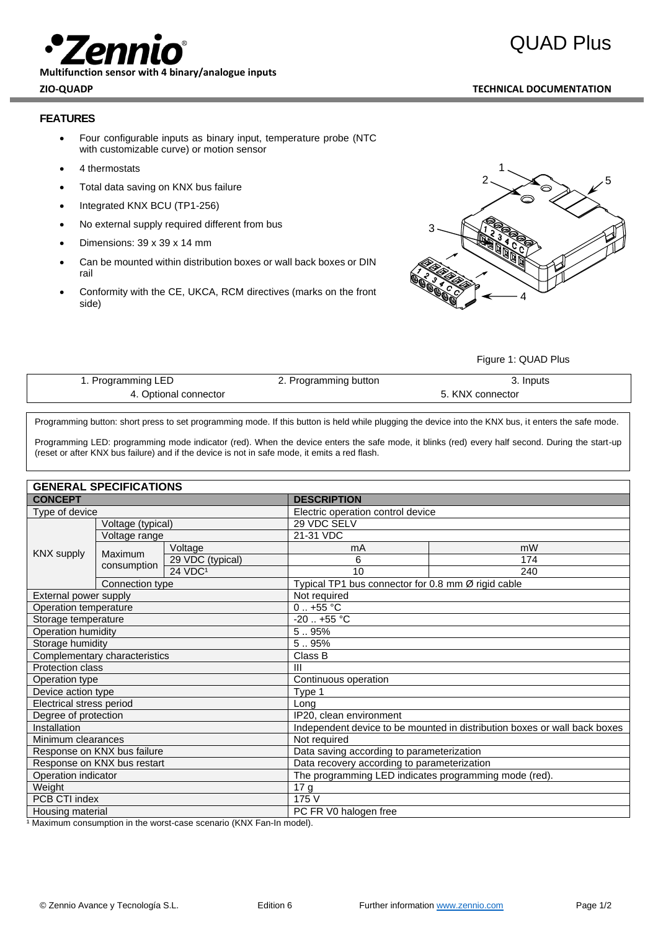**Multifunction sensor with 4 binary/analogue inputs**

## **ZIO-QUADP TECHNICAL DOCUMENTATION**

## **FEATURES**

- Four configurable inputs as binary input, temperature probe (NTC with customizable curve) or motion sensor
- 4 thermostats
- Total data saving on KNX bus failure
- Integrated KNX BCU (TP1-256)
- No external supply required different from bus
- Dimensions: 39 x 39 x 14 mm
- Can be mounted within distribution boxes or wall back boxes or DIN rail
- Conformity with the CE, UKCA, RCM directives (marks on the front side)



### Figure 1: QUAD Plus

| 1. Programming LED    | 2. Programming button | 3. Inputs        |  |
|-----------------------|-----------------------|------------------|--|
| 4. Optional connector |                       | 5. KNX connector |  |

Programming button: short press to set programming mode. If this button is held while plugging the device into the KNX bus, it enters the safe mode.

Programming LED: programming mode indicator (red). When the device enters the safe mode, it blinks (red) every half second. During the start-up (reset or after KNX bus failure) and if the device is not in safe mode, it emits a red flash.

# **GENERAL SPECIFICATIONS**

|                               | -116866 91 698 1988    |                                                                           |                                   |                                                    |  |  |
|-------------------------------|------------------------|---------------------------------------------------------------------------|-----------------------------------|----------------------------------------------------|--|--|
| <b>CONCEPT</b>                |                        | <b>DESCRIPTION</b>                                                        |                                   |                                                    |  |  |
| Type of device                |                        |                                                                           | Electric operation control device |                                                    |  |  |
| <b>KNX supply</b>             | Voltage (typical)      |                                                                           | 29 VDC SELV                       |                                                    |  |  |
|                               | Voltage range          |                                                                           | 21-31 VDC                         |                                                    |  |  |
|                               | Maximum<br>consumption | Voltage                                                                   | mA                                | mW                                                 |  |  |
|                               |                        | 29 VDC (typical)                                                          | 6                                 | 174                                                |  |  |
|                               |                        | 24 VDC <sup>1</sup>                                                       | 10                                | 240                                                |  |  |
|                               | Connection type        |                                                                           |                                   | Typical TP1 bus connector for 0.8 mm Ø rigid cable |  |  |
| External power supply         |                        | Not required                                                              |                                   |                                                    |  |  |
| Operation temperature         |                        | $0.1 + 55$ °C                                                             |                                   |                                                    |  |  |
| Storage temperature           |                        | $-20$ $+55$ °C                                                            |                                   |                                                    |  |  |
| Operation humidity            |                        | 5.95%                                                                     |                                   |                                                    |  |  |
| Storage humidity              |                        | 5.95%                                                                     |                                   |                                                    |  |  |
| Complementary characteristics |                        | Class B                                                                   |                                   |                                                    |  |  |
| <b>Protection class</b>       |                        | $\mathbf{III}$                                                            |                                   |                                                    |  |  |
| Operation type                |                        | Continuous operation                                                      |                                   |                                                    |  |  |
| Device action type            |                        | Type 1                                                                    |                                   |                                                    |  |  |
| Electrical stress period      |                        | Long                                                                      |                                   |                                                    |  |  |
| Degree of protection          |                        | IP20, clean environment                                                   |                                   |                                                    |  |  |
| Installation                  |                        | Independent device to be mounted in distribution boxes or wall back boxes |                                   |                                                    |  |  |
| Minimum clearances            |                        | Not required                                                              |                                   |                                                    |  |  |
| Response on KNX bus failure   |                        | Data saving according to parameterization                                 |                                   |                                                    |  |  |
| Response on KNX bus restart   |                        | Data recovery according to parameterization                               |                                   |                                                    |  |  |
| Operation indicator           |                        | The programming LED indicates programming mode (red).                     |                                   |                                                    |  |  |
| Weight                        |                        | 17 g                                                                      |                                   |                                                    |  |  |
| PCB CTI index                 |                        | 175 V                                                                     |                                   |                                                    |  |  |
| Housing material              |                        | PC FR V0 halogen free                                                     |                                   |                                                    |  |  |

<sup>1</sup> Maximum consumption in the worst-case scenario (KNX Fan-In model).